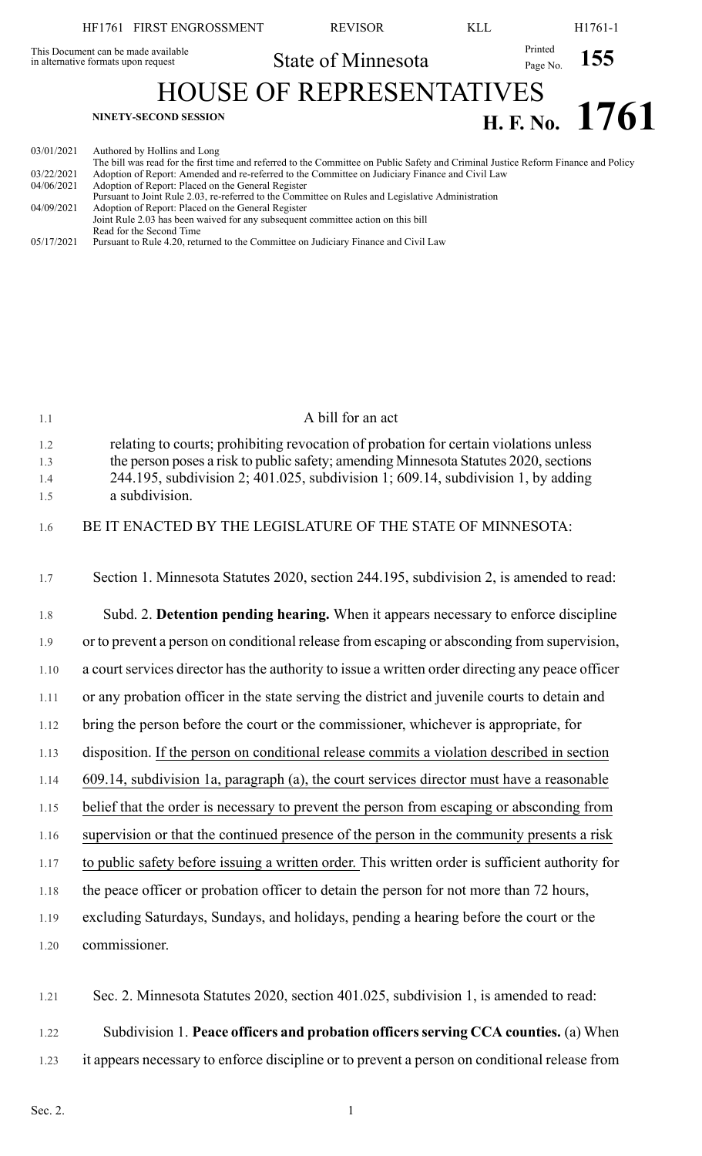|                                                                            | HF1761 FIRST ENGROSSMENT                              | <b>REVISOR</b>                                                                                                                                                                                                                        | KLL                 | H <sub>1761</sub> -1 |  |
|----------------------------------------------------------------------------|-------------------------------------------------------|---------------------------------------------------------------------------------------------------------------------------------------------------------------------------------------------------------------------------------------|---------------------|----------------------|--|
| This Document can be made available<br>in alternative formats upon request |                                                       | State of Minnesota                                                                                                                                                                                                                    | Printed<br>Page No. | <b>155</b>           |  |
| <b>HOUSE OF REPRESENTATIVES</b><br>H. F. No. 1761                          |                                                       |                                                                                                                                                                                                                                       |                     |                      |  |
| 03/01/2021                                                                 | NINETY-SECOND SESSION<br>Authored by Hollins and Long |                                                                                                                                                                                                                                       |                     |                      |  |
| 03/22/2021<br>$0.110 \times 10.001$                                        |                                                       | The bill was read for the first time and referred to the Committee on Public Safety and Criminal Justice Reform Finance and Policy<br>Adoption of Report: Amended and re-referred to the Committee on Judiciary Finance and Civil Law |                     |                      |  |

| 04/06/2021 | Adoption of Report: Placed on the General Register                                                |  |
|------------|---------------------------------------------------------------------------------------------------|--|
|            | Pursuant to Joint Rule 2.03, re-referred to the Committee on Rules and Legislative Administration |  |
| 04/09/2021 | Adoption of Report: Placed on the General Register                                                |  |
|            | Joint Rule 2.03 has been waived for any subsequent committee action on this bill                  |  |
|            | Read for the Second Time                                                                          |  |
| 05/17/2021 | Pursuant to Rule 4.20, returned to the Committee on Judiciary Finance and Civil Law               |  |
|            |                                                                                                   |  |

| 1.1                      | A bill for an act                                                                                                                                                                                                                                                                   |
|--------------------------|-------------------------------------------------------------------------------------------------------------------------------------------------------------------------------------------------------------------------------------------------------------------------------------|
| 1.2<br>1.3<br>1.4<br>1.5 | relating to courts; prohibiting revocation of probation for certain violations unless<br>the person poses a risk to public safety; amending Minnesota Statutes 2020, sections<br>244.195, subdivision 2; 401.025, subdivision 1; 609.14, subdivision 1, by adding<br>a subdivision. |
| 1.6                      | BE IT ENACTED BY THE LEGISLATURE OF THE STATE OF MINNESOTA:                                                                                                                                                                                                                         |
| 1.7                      | Section 1. Minnesota Statutes 2020, section 244.195, subdivision 2, is amended to read:                                                                                                                                                                                             |
| 1.8                      | Subd. 2. Detention pending hearing. When it appears necessary to enforce discipline                                                                                                                                                                                                 |
| 1.9                      | or to prevent a person on conditional release from escaping or absconding from supervision,                                                                                                                                                                                         |
| 1.10                     | a court services director has the authority to issue a written order directing any peace officer                                                                                                                                                                                    |
| 1.11                     | or any probation officer in the state serving the district and juvenile courts to detain and                                                                                                                                                                                        |
| 1.12                     | bring the person before the court or the commissioner, whichever is appropriate, for                                                                                                                                                                                                |
| 1.13                     | disposition. If the person on conditional release commits a violation described in section                                                                                                                                                                                          |
| 1.14                     | 609.14, subdivision 1a, paragraph (a), the court services director must have a reasonable                                                                                                                                                                                           |
| 1.15                     | belief that the order is necessary to prevent the person from escaping or absconding from                                                                                                                                                                                           |
| 1.16                     | supervision or that the continued presence of the person in the community presents a risk                                                                                                                                                                                           |
| 1.17                     | to public safety before issuing a written order. This written order is sufficient authority for                                                                                                                                                                                     |
| 1.18                     | the peace officer or probation officer to detain the person for not more than 72 hours,                                                                                                                                                                                             |
| 1.19                     | excluding Saturdays, Sundays, and holidays, pending a hearing before the court or the                                                                                                                                                                                               |
| 1.20                     | commissioner.                                                                                                                                                                                                                                                                       |
| 1.21                     | Sec. 2. Minnesota Statutes 2020, section 401.025, subdivision 1, is amended to read:                                                                                                                                                                                                |

1.22 Subdivision 1. **Peace officers and probation officersserving CCA counties.** (a) When

1.23 it appears necessary to enforce discipline or to prevent a person on conditional release from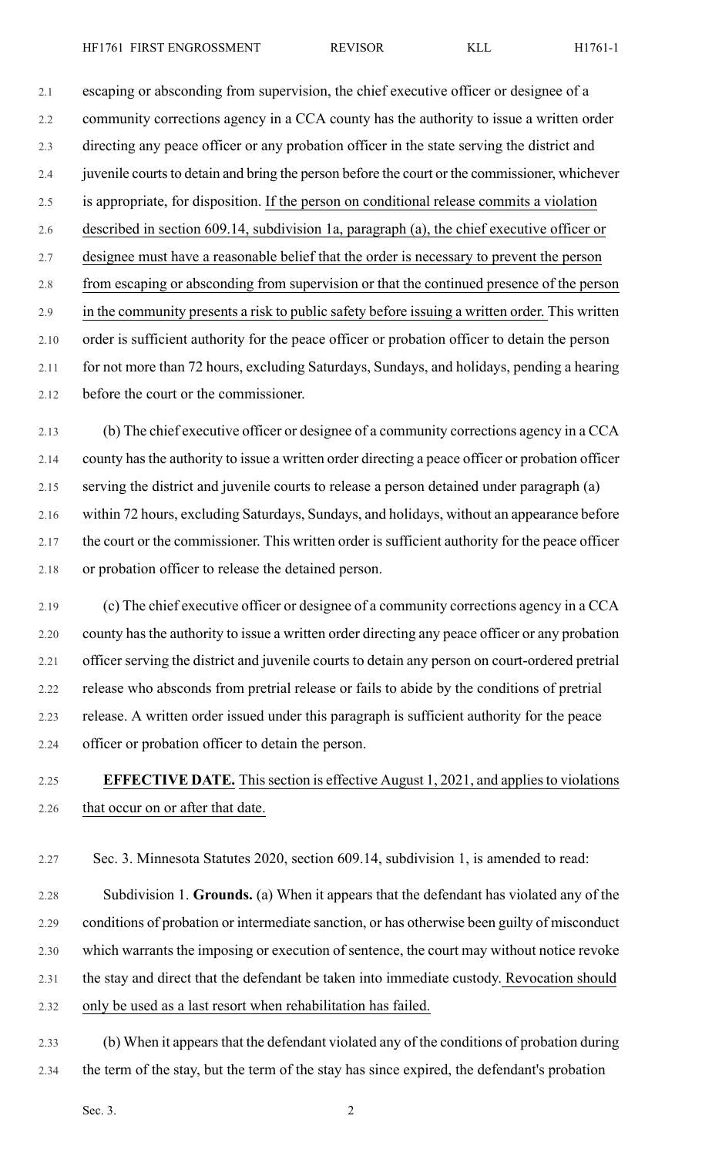2.1 escaping or absconding from supervision, the chief executive officer or designee of a 2.2 community corrections agency in a CCA county has the authority to issue a written order 2.3 directing any peace officer or any probation officer in the state serving the district and 2.4 juvenile courts to detain and bring the person before the court or the commissioner, whichever 2.5 is appropriate, for disposition. If the person on conditional release commits a violation 2.6 described in section 609.14, subdivision 1a, paragraph (a), the chief executive officer or 2.7 designee must have a reasonable belief that the order is necessary to prevent the person 2.8 from escaping or absconding from supervision or that the continued presence of the person 2.9 in the community presents a risk to public safety before issuing a written order. This written 2.10 order is sufficient authority for the peace officer or probation officer to detain the person 2.11 for not more than 72 hours, excluding Saturdays, Sundays, and holidays, pending a hearing 2.12 before the court or the commissioner.

2.13 (b) The chief executive officer or designee of a community corrections agency in a CCA 2.14 county has the authority to issue a written order directing a peace officer or probation officer 2.15 serving the district and juvenile courts to release a person detained under paragraph (a) 2.16 within 72 hours, excluding Saturdays, Sundays, and holidays, without an appearance before 2.17 the court or the commissioner. This written order is sufficient authority for the peace officer 2.18 or probation officer to release the detained person.

2.19 (c) The chief executive officer or designee of a community corrections agency in a CCA 2.20 county has the authority to issue a written order directing any peace officer or any probation 2.21 officer serving the district and juvenile courts to detain any person on court-ordered pretrial 2.22 release who absconds from pretrial release or fails to abide by the conditions of pretrial 2.23 release. A written order issued under this paragraph is sufficient authority for the peace 2.24 officer or probation officer to detain the person.

## 2.25 **EFFECTIVE DATE.** Thissection is effective August 1, 2021, and appliesto violations 2.26 that occur on or after that date.

2.27 Sec. 3. Minnesota Statutes 2020, section 609.14, subdivision 1, is amended to read:

2.28 Subdivision 1. **Grounds.** (a) When it appears that the defendant has violated any of the 2.29 conditions of probation or intermediate sanction, or has otherwise been guilty of misconduct 2.30 which warrants the imposing or execution of sentence, the court may without notice revoke 2.31 the stay and direct that the defendant be taken into immediate custody. Revocation should 2.32 only be used as a last resort when rehabilitation has failed.

2.33 (b) When it appears that the defendant violated any of the conditions of probation during 2.34 the term of the stay, but the term of the stay has since expired, the defendant's probation

Sec. 3.  $2^2$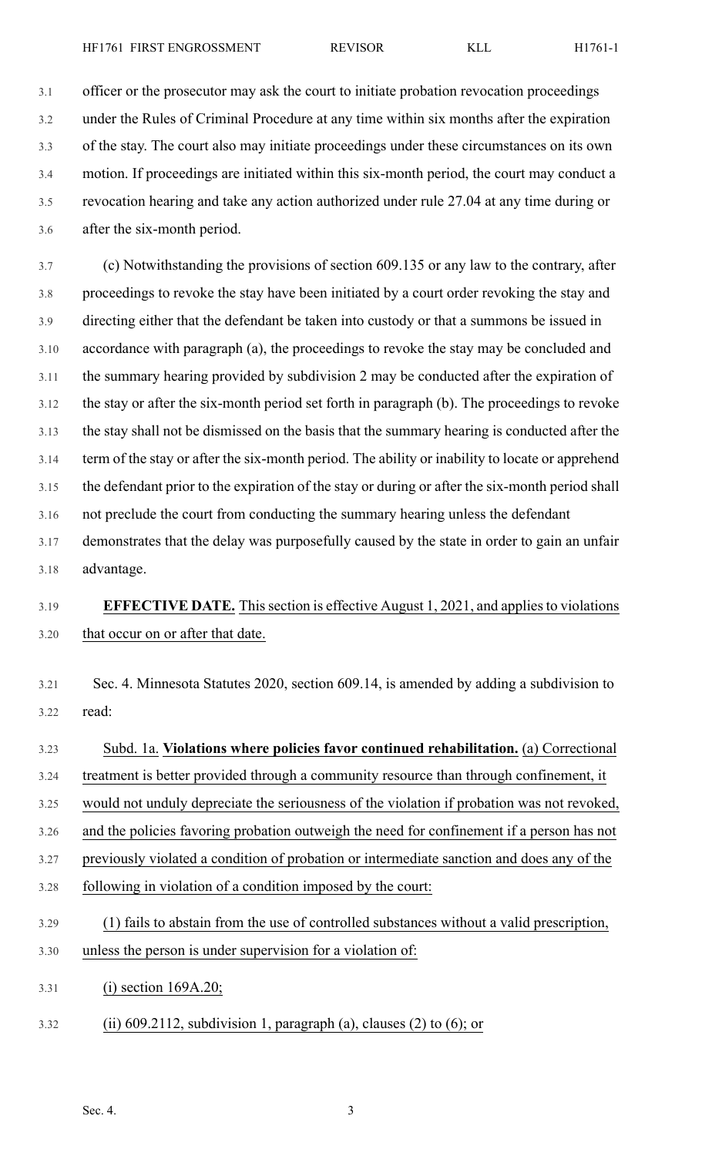3.1 officer or the prosecutor may ask the court to initiate probation revocation proceedings 3.2 under the Rules of Criminal Procedure at any time within six months after the expiration 3.3 of the stay. The court also may initiate proceedings under these circumstances on its own 3.4 motion. If proceedings are initiated within this six-month period, the court may conduct a

3.5 revocation hearing and take any action authorized under rule 27.04 at any time during or 3.6 after the six-month period.

3.7 (c) Notwithstanding the provisions of section 609.135 or any law to the contrary, after 3.8 proceedings to revoke the stay have been initiated by a court order revoking the stay and 3.9 directing either that the defendant be taken into custody or that a summons be issued in 3.10 accordance with paragraph (a), the proceedings to revoke the stay may be concluded and 3.11 the summary hearing provided by subdivision 2 may be conducted after the expiration of 3.12 the stay or after the six-month period set forth in paragraph (b). The proceedings to revoke 3.13 the stay shall not be dismissed on the basis that the summary hearing is conducted after the 3.14 term of the stay or after the six-month period. The ability or inability to locate or apprehend 3.15 the defendant prior to the expiration of the stay or during or after the six-month period shall 3.16 not preclude the court from conducting the summary hearing unless the defendant 3.17 demonstrates that the delay was purposefully caused by the state in order to gain an unfair 3.18 advantage.

## 3.19 **EFFECTIVE DATE.** Thissection is effective August 1, 2021, and appliesto violations 3.20 that occur on or after that date.

3.21 Sec. 4. Minnesota Statutes 2020, section 609.14, is amended by adding a subdivision to 3.22 read:

- 3.23 Subd. 1a. **Violations where policies favor continued rehabilitation.** (a) Correctional 3.24 treatment is better provided through a community resource than through confinement, it 3.25 would not unduly depreciate the seriousness of the violation if probation was not revoked, 3.26 and the policies favoring probation outweigh the need for confinement if a person has not 3.27 previously violated a condition of probation or intermediate sanction and does any of the 3.28 following in violation of a condition imposed by the court: 3.29 (1) fails to abstain from the use of controlled substances without a valid prescription, 3.30 unless the person is under supervision for a violation of: 3.31 (i) section 169A.20;
- 3.32 (ii) 609.2112, subdivision 1, paragraph (a), clauses (2) to (6); or